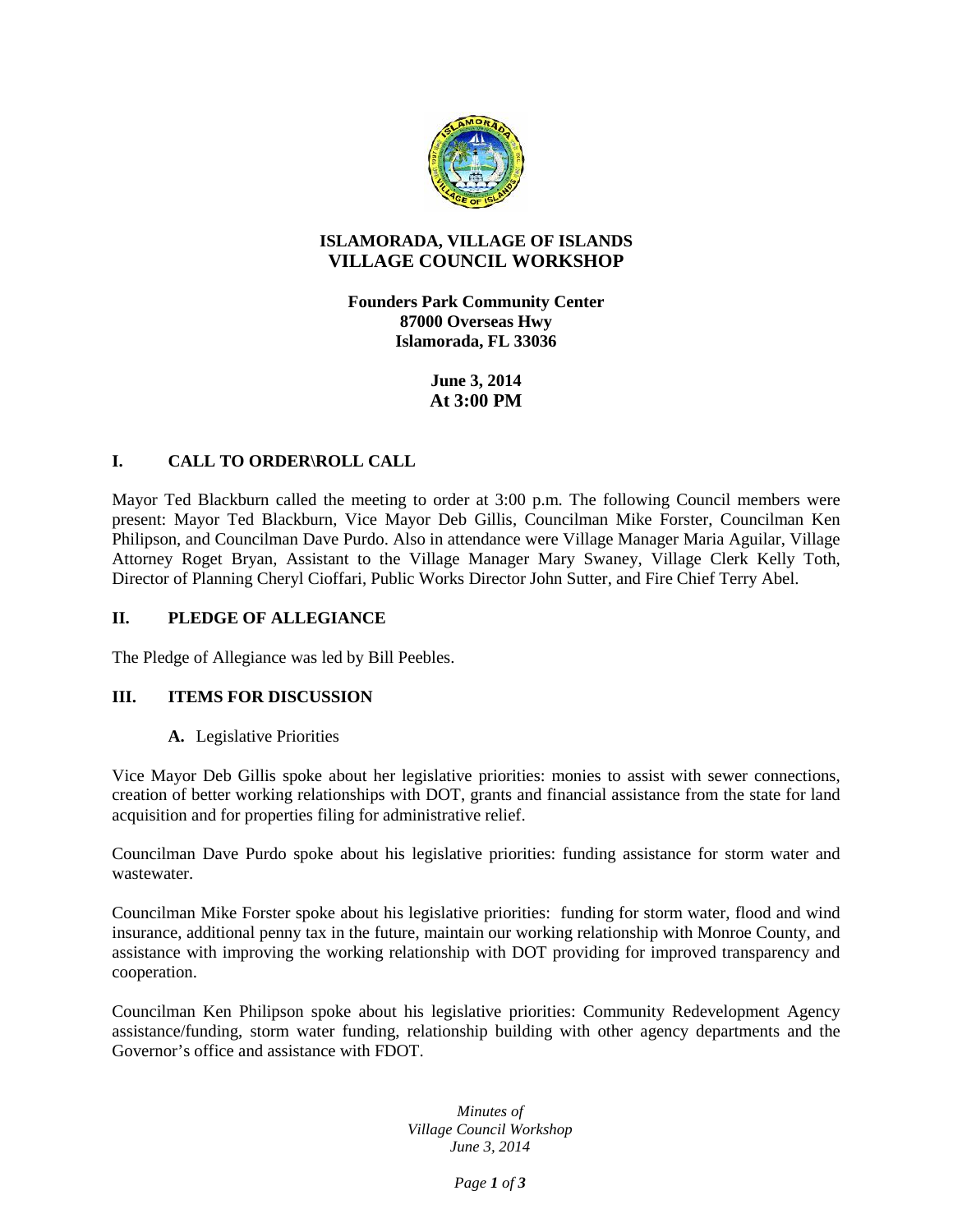

## **ISLAMORADA, VILLAGE OF ISLANDS VILLAGE COUNCIL WORKSHOP**

**Founders Park Community Center 87000 Overseas Hwy Islamorada, FL 33036**

> **June 3, 2014 At 3:00 PM**

# **I. CALL TO ORDER\ROLL CALL**

Mayor Ted Blackburn called the meeting to order at 3:00 p.m. The following Council members were present: Mayor Ted Blackburn, Vice Mayor Deb Gillis, Councilman Mike Forster, Councilman Ken Philipson, and Councilman Dave Purdo. Also in attendance were Village Manager Maria Aguilar, Village Attorney Roget Bryan, Assistant to the Village Manager Mary Swaney, Village Clerk Kelly Toth, Director of Planning Cheryl Cioffari, Public Works Director John Sutter, and Fire Chief Terry Abel.

## **II. PLEDGE OF ALLEGIANCE**

The Pledge of Allegiance was led by Bill Peebles.

### **III. ITEMS FOR DISCUSSION**

### **A.** Legislative Priorities

Vice Mayor Deb Gillis spoke about her legislative priorities: monies to assist with sewer connections, creation of better working relationships with DOT, grants and financial assistance from the state for land acquisition and for properties filing for administrative relief.

Councilman Dave Purdo spoke about his legislative priorities: funding assistance for storm water and wastewater.

Councilman Mike Forster spoke about his legislative priorities: funding for storm water, flood and wind insurance, additional penny tax in the future, maintain our working relationship with Monroe County, and assistance with improving the working relationship with DOT providing for improved transparency and cooperation.

Councilman Ken Philipson spoke about his legislative priorities: Community Redevelopment Agency assistance/funding, storm water funding, relationship building with other agency departments and the Governor's office and assistance with FDOT.

> *Minutes of Village Council Workshop June 3, 2014*

> > *Page 1 of 3*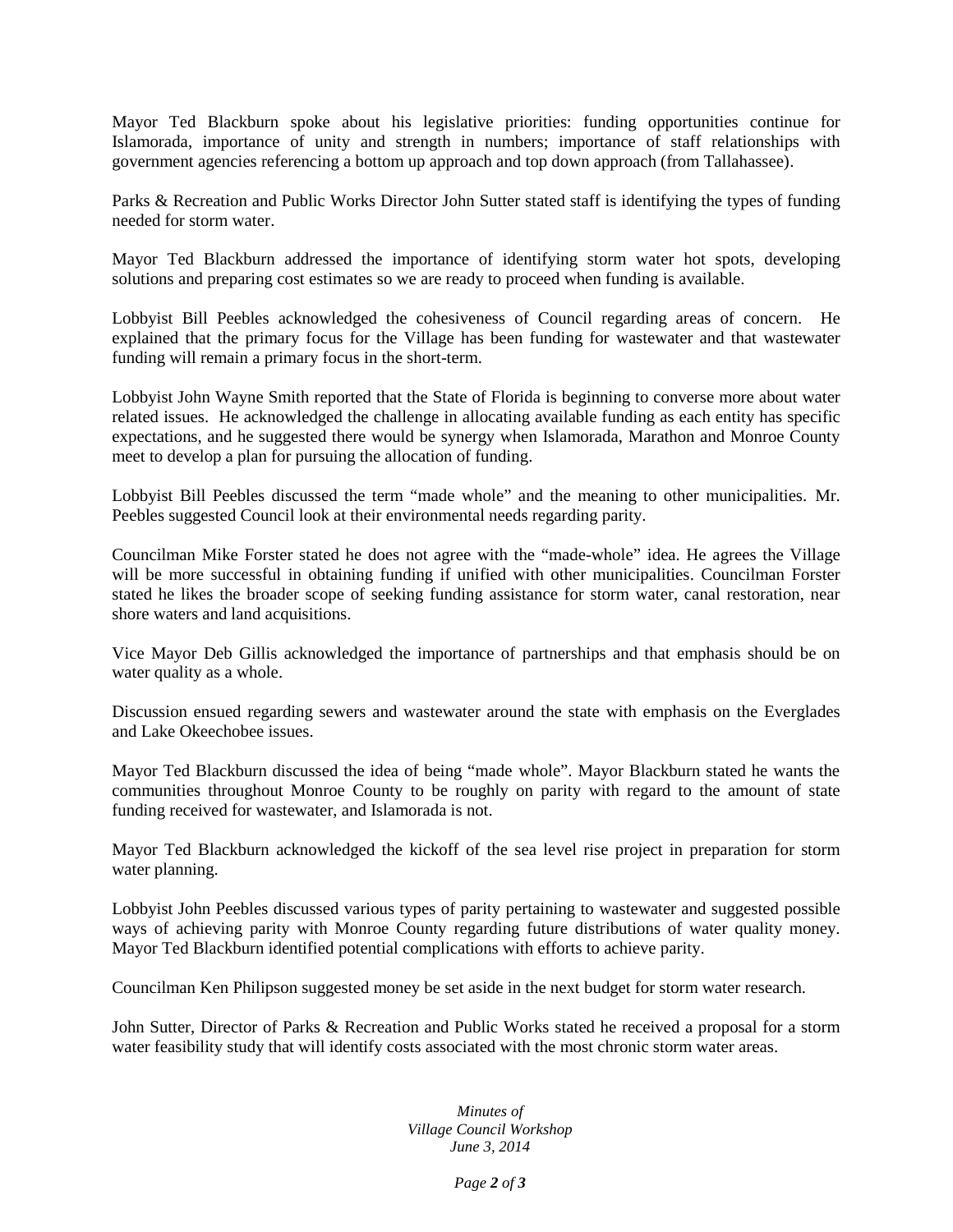Mayor Ted Blackburn spoke about his legislative priorities: funding opportunities continue for Islamorada, importance of unity and strength in numbers; importance of staff relationships with government agencies referencing a bottom up approach and top down approach (from Tallahassee).

Parks & Recreation and Public Works Director John Sutter stated staff is identifying the types of funding needed for storm water.

Mayor Ted Blackburn addressed the importance of identifying storm water hot spots, developing solutions and preparing cost estimates so we are ready to proceed when funding is available.

Lobbyist Bill Peebles acknowledged the cohesiveness of Council regarding areas of concern. He explained that the primary focus for the Village has been funding for wastewater and that wastewater funding will remain a primary focus in the short-term.

Lobbyist John Wayne Smith reported that the State of Florida is beginning to converse more about water related issues. He acknowledged the challenge in allocating available funding as each entity has specific expectations, and he suggested there would be synergy when Islamorada, Marathon and Monroe County meet to develop a plan for pursuing the allocation of funding.

Lobbyist Bill Peebles discussed the term "made whole" and the meaning to other municipalities. Mr. Peebles suggested Council look at their environmental needs regarding parity.

Councilman Mike Forster stated he does not agree with the "made-whole" idea. He agrees the Village will be more successful in obtaining funding if unified with other municipalities. Councilman Forster stated he likes the broader scope of seeking funding assistance for storm water, canal restoration, near shore waters and land acquisitions.

Vice Mayor Deb Gillis acknowledged the importance of partnerships and that emphasis should be on water quality as a whole.

Discussion ensued regarding sewers and wastewater around the state with emphasis on the Everglades and Lake Okeechobee issues.

Mayor Ted Blackburn discussed the idea of being "made whole". Mayor Blackburn stated he wants the communities throughout Monroe County to be roughly on parity with regard to the amount of state funding received for wastewater, and Islamorada is not.

Mayor Ted Blackburn acknowledged the kickoff of the sea level rise project in preparation for storm water planning.

Lobbyist John Peebles discussed various types of parity pertaining to wastewater and suggested possible ways of achieving parity with Monroe County regarding future distributions of water quality money. Mayor Ted Blackburn identified potential complications with efforts to achieve parity.

Councilman Ken Philipson suggested money be set aside in the next budget for storm water research.

John Sutter, Director of Parks & Recreation and Public Works stated he received a proposal for a storm water feasibility study that will identify costs associated with the most chronic storm water areas.

#### *Minutes of Village Council Workshop June 3, 2014*